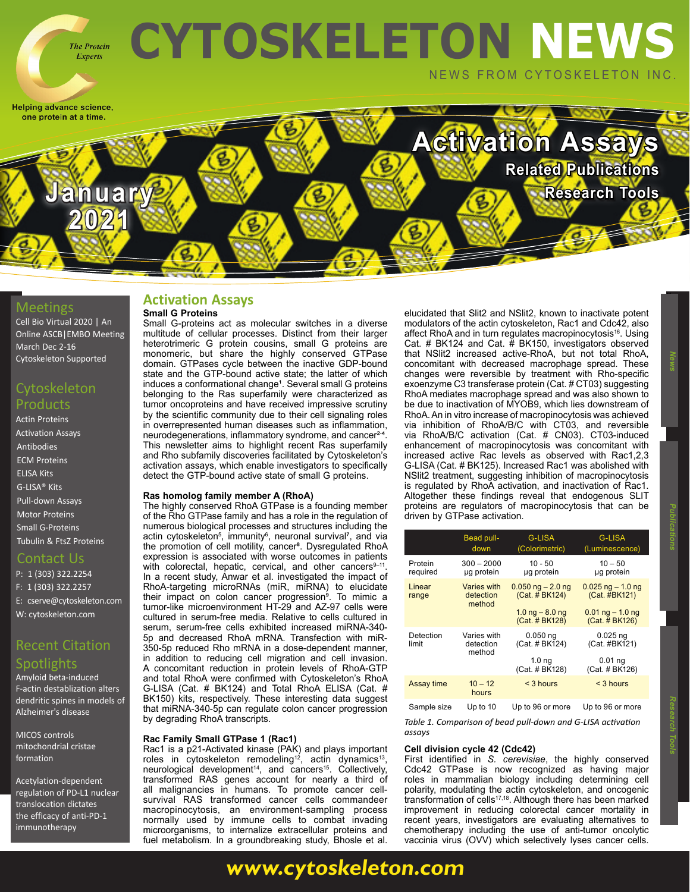

**January / By By Research Tools** 

Helping advance science, one protein at a time.

## **Meetings**

Cell Bio Virtual 2020 | An Online ASCB|EMBO Meeting [March Dec 2-16](https://www.ascb.org/cellbiovirtual2020/)  [Cytoskeleton Supported](https://www.ascb.org/cellbiovirtual2020/)

**2021**

#### Cytoskeleton Products

[Actin Proteins](https://www.cytoskeleton.com/actin-resources) [Activation Assays](http://www.cytoskeleton.com/BK038) [Antibodies](https://www.cytoskeleton.com/antibodies) [ECM Proteins](https://www.cytoskeleton.com/ecm) [ELISA Kits](https://www.cytoskeleton.com/bk150) [G-LISA® Kits](https://www.cytoskeleton.com/kits/glisa-assays) [Pull-down Assays](https://www.cytoskeleton.com/kits/pulldown-assays) [Motor Proteins](https://www.cytoskeleton.com/motor-proteins) [Small G-Proteins](https://www.cytoskeleton.com/small-g-proteins) [Tubulin & FtsZ Proteins](https://www.cytoskeleton.com/tubulins)

#### Contact Us

P: 1 (303) 322.2254 F: 1 (303) 322.2257 E: [cserve@cytoskeleton.com](mailto:cserve%40cytoskeleton.com?subject=Newsletter%20Email) W: [cytoskeleton.com](http://cytoskeleton.com)

# Recent Citation

### Spotlights

[Amyloid beta-induced](https://www.cytoskeleton.com/blog/amyloid-beta-induced-f-actin-destabilization/)  [F-actin destablization alters](https://www.cytoskeleton.com/blog/amyloid-beta-induced-f-actin-destabilization/)  [dendritic spines in models of](https://www.cytoskeleton.com/blog/amyloid-beta-induced-f-actin-destabilization/)  [Alzheimer's disease](https://www.cytoskeleton.com/blog/amyloid-beta-induced-f-actin-destabilization/)

[MICOS controls](https://www.cytoskeleton.com/blog/micos-controls-mitochondrial-cristae-formation/)  [mitochondrial cristae](https://www.cytoskeleton.com/blog/micos-controls-mitochondrial-cristae-formation/)  [formation](https://www.cytoskeleton.com/blog/micos-controls-mitochondrial-cristae-formation/)

[Acetylation-dependent](https://www.cytoskeleton.com/blog/acetylation-dependent-regulation-of-pd-l1/)  [regulation of PD-L1 nuclear](https://www.cytoskeleton.com/blog/acetylation-dependent-regulation-of-pd-l1/)  [translocation dictates](https://www.cytoskeleton.com/blog/acetylation-dependent-regulation-of-pd-l1/)  [the efficacy of anti-PD-1](https://www.cytoskeleton.com/blog/acetylation-dependent-regulation-of-pd-l1/)  [immunotherapy](https://www.cytoskeleton.com/blog/acetylation-dependent-regulation-of-pd-l1/)

#### **Activation Assays Small G Proteins**

#### Small G-proteins act as molecular switches in a diverse multitude of cellular processes. Distinct from their larger heterotrimeric G protein cousins, small G proteins are monomeric, but share the highly conserved GTPase domain. GTPases cycle between the inactive GDP-bound state and the GTP-bound active state; the latter of which induces a conformational change<sup>1</sup>. Several small G proteins belonging to the Ras superfamily were characterized as tumor oncoproteins and have received impressive scrutiny by the scientific community due to their cell signaling roles in overrepresented human diseases such as inflammation, neurodegenerations, inflammatory syndrome, and cancer<sup>2-4</sup>. This newsletter aims to highlight recent Ras superfamily and Rho subfamily discoveries facilitated by Cytoskeleton's activation assays, which enable investigators to specifically detect the GTP-bound active state of small G proteins.

#### **Ras homolog family member A (RhoA)**

The highly conserved RhoA GTPase is a founding member of the Rho GTPase family and has a role in the regulation of numerous biological processes and structures including the actin cytoskeleton<sup>5</sup>, immunity<sup>6</sup>, neuronal survival<sup>7</sup>, and via the promotion of cell motility, cancer<sup>s</sup>. Dysregulated RhoA expression is associated with worse outcomes in patients with colorectal, hepatic, cervical, and other cancers $9-11$ . In a recent study, Anwar et al. investigated the impact of RhoA-targeting microRNAs (miR, miRNA) to elucidate their impact on colon cancer progression⁹. To mimic a tumor-like microenvironment HT-29 and AZ-97 cells were cultured in serum-free media. Relative to cells cultured in serum, serum-free cells exhibited increased miRNA-340- 5p and decreased RhoA mRNA. Transfection with miR-350-5p reduced Rho mRNA in a dose-dependent manner, in addition to reducing cell migration and cell invasion. A concomitant reduction in protein levels of RhoA-GTP and total RhoA were confirmed with Cytoskeleton's RhoA G-LISA (Cat. # BK124) and Total RhoA ELISA (Cat. # BK150) kits, respectively. These interesting data suggest that miRNA-340-5p can regulate colon cancer progression by degrading RhoA transcripts.

#### **Rac Family Small GTPase 1 (Rac1)**

Rac1 is a p21-Activated kinase (PAK) and plays important roles in cytoskeleton remodeling<sup>12</sup>, actin dynamics<sup>13</sup>, neurological development<sup>14</sup>, and cancers<sup>15</sup>. Collectively, transformed RAS genes account for nearly a third of all malignancies in humans. To promote cancer cellsurvival RAS transformed cancer cells commandeer macropinocytosis, an environment-sampling process normally used by immune cells to combat invading microorganisms, to internalize extracellular proteins and fuel metabolism. In a groundbreaking study, Bhosle et al.

**[www.cytoskeleton.com](http://www.cytoskeleton.com)**

elucidated that Slit2 and NSlit2, known to inactivate potent modulators of the actin cytoskeleton, Rac1 and Cdc42, also affect RhoA and in turn regulates macropinocytosis<sup>16</sup>. Using Cat. # BK124 and Cat. # BK150, investigators observed that NSlit2 increased active-RhoA, but not total RhoA, concomitant with decreased macrophage spread. These changes were reversible by treatment with Rho-specific exoenzyme C3 transferase protein (Cat. # CT03) suggesting RhoA mediates macrophage spread and was also shown to be due to inactivation of MYOB9, which lies downstream of RhoA. An in vitro increase of macropinocytosis was achieved via inhibition of RhoA/B/C with CT03, and reversible via RhoA/B/C activation (Cat. # CN03). CT03-induced enhancement of macropinocytosis was concomitant with increased active Rac levels as observed with Rac1.2.3 G-LISA (Cat. # BK125). Increased Rac1 was abolished with NSlit2 treatment, suggesting inhibition of macropinocytosis is regulated by RhoA activation, and inactivation of Rac1. Altogether these findings reveal that endogenous SLIT proteins are regulators of macropinocytosis that can be driven by GTPase activation.

**Activation Assays**

**[Related Publications](https://www.cytoskeleton.com/blog/)**

|                     | Bead pull-<br>down                 | <b>G-LISA</b><br>(Colorimetric)                                                | <b>G-LISA</b><br>(Luminescence)                                                |
|---------------------|------------------------------------|--------------------------------------------------------------------------------|--------------------------------------------------------------------------------|
| Protein<br>required | $300 - 2000$<br>ug protein         | $10 - 50$<br>ug protein                                                        | $10 - 50$<br>ug protein                                                        |
| Linear<br>range     | Varies with<br>detection<br>method | $0.050$ ng $- 2.0$ ng<br>(Cat. # BK124)<br>1.0 $ng - 8.0$ ng<br>(Cat. # BK128) | $0.025$ ng $-1.0$ ng<br>(Cat. #BK121)<br>$0.01$ ng $-1.0$ ng<br>(Cat. # BK126) |
| Detection<br>limit  | Varies with<br>detection<br>method | $0.050$ ng<br>(Cat. # BK124)<br>1.0 <sub>ng</sub><br>(Cat. # BK128)            | $0.025$ ng<br>(Cat. #BK121)<br>0.01 <sub>ng</sub><br>(Cat. # BK126)            |
| Assay time          | $10 - 12$<br>hours                 | $<$ 3 hours                                                                    | $<$ 3 hours                                                                    |
|                     |                                    |                                                                                |                                                                                |

Sample size Up to 10 Up to 96 or more Up to 96 or more

*Table 1. Comparison of bead pull-down and G-LISA activation assays*

#### **Cell division cycle 42 (Cdc42)**

First identified in *S. cerevisiae*, the highly conserved Cdc42 GTPase is now recognized as having major roles in mammalian biology including determining cell polarity, modulating the actin cytoskeleton, and oncogenic transformation of cells<sup>17,18</sup>. Although there has been marked improvement in reducing colorectal cancer mortality in recent years, investigators are evaluating alternatives to chemotherapy including the use of anti-tumor oncolytic vaccinia virus (OVV) which selectively lyses cancer cells.

 **News Publications**